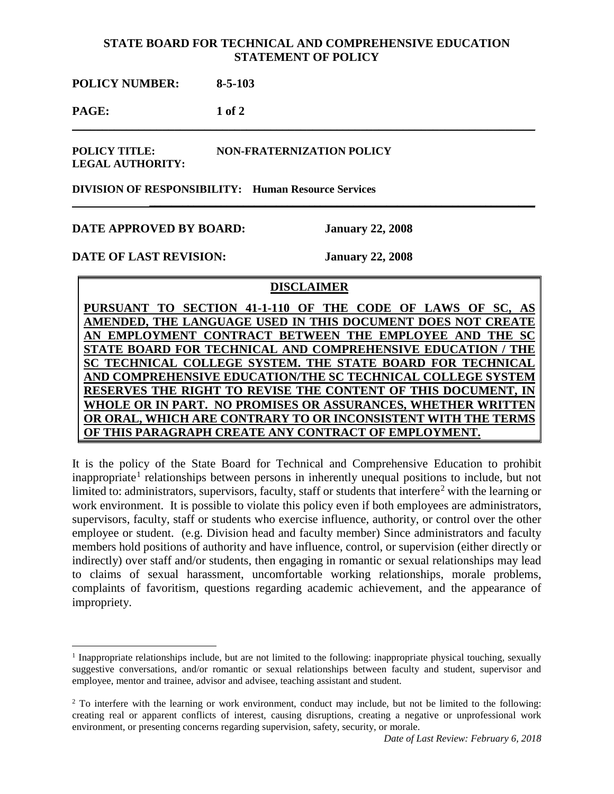## **STATE BOARD FOR TECHNICAL AND COMPREHENSIVE EDUCATION STATEMENT OF POLICY**

\_\_\_\_\_\_\_\_\_\_\_\_\_\_\_\_\_\_\_\_\_\_\_\_\_\_\_\_\_\_\_\_\_\_\_\_\_\_\_\_\_\_\_\_\_\_\_\_\_\_\_\_\_\_\_\_\_\_\_\_\_\_\_\_\_\_\_\_\_\_\_\_\_\_\_\_\_

 **\_\_\_\_\_\_\_\_\_\_\_\_\_\_\_\_\_\_\_\_\_\_\_\_\_\_\_\_\_\_\_\_\_\_\_\_\_\_\_\_\_\_\_\_\_\_\_\_\_\_\_\_\_\_\_\_\_\_\_\_\_\_\_\_\_\_\_\_\_\_**

**POLICY NUMBER: 8-5-103**

**PAGE: 1 of 2**

**POLICY TITLE: NON-FRATERNIZATION POLICY LEGAL AUTHORITY:**

**DIVISION OF RESPONSIBILITY: Human Resource Services**

## **DATE APPROVED BY BOARD: January 22, 2008**

**DATE OF LAST REVISION: January 22, 2008**

## **DISCLAIMER**

PURSUANT TO SECTION 41-1-110 OF THE CODE OF LAWS OF SC AMENDED, THE LANGUAGE USED IN THIS DOCUMENT DOES NOT CREA AN EMPLOYMENT CONTRACT BETWEEN THE EMPLOYEE AND THE **STATE BOARD FOR TECHNICAL AND COMPREHENSIVE EDUCATION / THE SC TECHNICAL COLLEGE SYSTEM. THE STATE BOARD FOR TECHNICAL AND COMPREHENSIVE EDUCATION/THE SC TECHNICAL COLLEGE SYSTEM RESERVES THE RIGHT TO REVISE THE CONTENT OF THIS DOCUMENT, WHOLE OR IN PART. NO PROMISES OR ASSURANCES, WHETHER WRITTEN OR ORAL, WHICH ARE CONTRARY TO OR INCONSISTENT WITH THE TERMS OF THIS PARAGRAPH CREATE ANY CONTRACT OF EMPLOYMENT.**

It is the policy of the State Board for Technical and Comprehensive Education to prohibit inappropriate<sup>[1](#page-0-0)</sup> relationships between persons in inherently unequal positions to include, but not limited to: administrators, supervisors, faculty, staff or students that interfere<sup>[2](#page-0-1)</sup> with the learning or work environment. It is possible to violate this policy even if both employees are administrators, supervisors, faculty, staff or students who exercise influence, authority, or control over the other employee or student. (e.g. Division head and faculty member) Since administrators and faculty members hold positions of authority and have influence, control, or supervision (either directly or indirectly) over staff and/or students, then engaging in romantic or sexual relationships may lead to claims of sexual harassment, uncomfortable working relationships, morale problems, complaints of favoritism, questions regarding academic achievement, and the appearance of impropriety.

<span id="page-0-0"></span> $<sup>1</sup>$  Inappropriate relationships include, but are not limited to the following: inappropriate physical touching, sexually</sup> suggestive conversations, and/or romantic or sexual relationships between faculty and student, supervisor and employee, mentor and trainee, advisor and advisee, teaching assistant and student.

<span id="page-0-1"></span><sup>&</sup>lt;sup>2</sup> To interfere with the learning or work environment, conduct may include, but not be limited to the following: creating real or apparent conflicts of interest, causing disruptions, creating a negative or unprofessional work environment, or presenting concerns regarding supervision, safety, security, or morale.